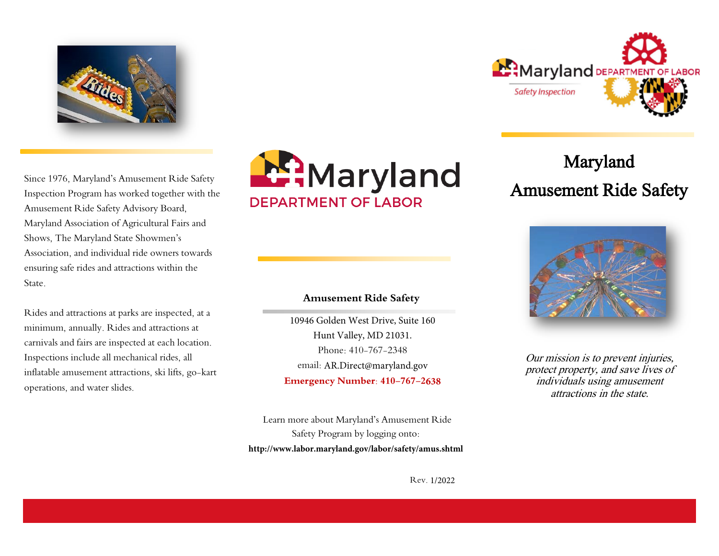

Since 1976, Maryland's Amusement Ride Safety Inspection Program has worked together with the Amusement Ride Safety Advisory Board, Maryland Association of Agricultural Fairs and Shows, The Maryland State Showmen's Association, and individual ride owners towards ensuring safe rides and attractions within the State.

Rides and attractions at parks are inspected, at a minimum, annually. Rides and attractions at carnivals and fairs are inspected at each location. Inspections include all mechanical rides, all inflatable amusement attractions, ski lifts, go-kart operations, and water slides.



# **Amusement Ride Safety**

10946 Golden West Drive, Suite 160 Hunt Valley, MD 21031. Phone: 410-767-2348 email: AR.Direct@maryland.gov **Emergency Number: 410-767-2638**

Learn more about Maryland's Amusement Ride Safety Program by logging onto: **http://www.labor.maryland.gov/labor/safety/amus.shtml**



# Maryland Amusement Ride Safety



Our mission is to prevent injuries, protect property, and save lives of individuals using amusement attractions in the state.

Rev. 1/2022